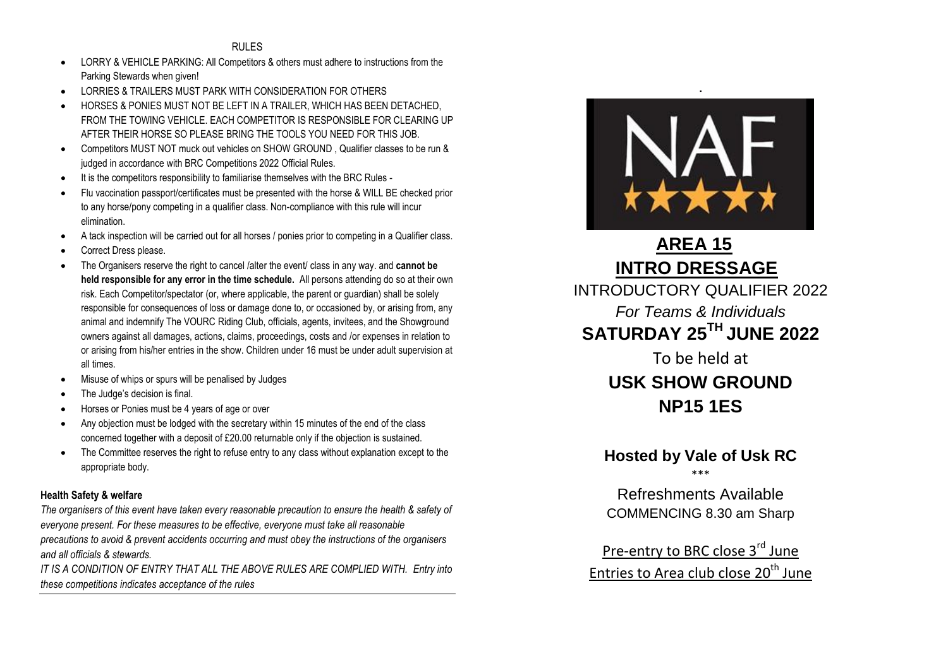#### RULES

- LORRY & VEHICLE PARKING: All Competitors & others must adhere to instructions from the Parking Stewards when given!
- LORRIES & TRAILERS MUST PARK WITH CONSIDERATION FOR OTHERS
- HORSES & PONIES MUST NOT BE LEFT IN A TRAILER, WHICH HAS BEEN DETACHED, FROM THE TOWING VEHICLE. EACH COMPETITOR IS RESPONSIBLE FOR CLEARING UP AFTER THEIR HORSE SO PLEASE BRING THE TOOLS YOU NEED FOR THIS JOB.
- Competitors MUST NOT muck out vehicles on SHOW GROUND , Qualifier classes to be run & judged in accordance with BRC Competitions 2022 Official Rules.
- It is the competitors responsibility to familiarise themselves with the BRC Rules -
- Flu vaccination passport/certificates must be presented with the horse & WILL BE checked prior to any horse/pony competing in a qualifier class. Non-compliance with this rule will incur elimination.
- A tack inspection will be carried out for all horses / ponies prior to competing in a Qualifier class.
- Correct Dress please.
- The Organisers reserve the right to cancel /alter the event/ class in any way. and **cannot be held responsible for any error in the time schedule.** All persons attending do so at their own risk. Each Competitor/spectator (or, where applicable, the parent or guardian) shall be solely responsible for consequences of loss or damage done to, or occasioned by, or arising from, any animal and indemnify The VOURC Riding Club, officials, agents, invitees, and the Showground owners against all damages, actions, claims, proceedings, costs and /or expenses in relation to or arising from his/her entries in the show. Children under 16 must be under adult supervision at all times.
- Misuse of whips or spurs will be penalised by Judges
- The Judge's decision is final.
- Horses or Ponies must be 4 years of age or over
- Any objection must be lodged with the secretary within 15 minutes of the end of the class concerned together with a deposit of £20.00 returnable only if the objection is sustained.
- The Committee reserves the right to refuse entry to any class without explanation except to the appropriate body.

#### **Health Safety & welfare**

*The organisers of this event have taken every reasonable precaution to ensure the health & safety of everyone present. For these measures to be effective, everyone must take all reasonable precautions to avoid & prevent accidents occurring and must obey the instructions of the organisers and all officials & stewards.*

*IT IS A CONDITION OF ENTRY THAT ALL THE ABOVE RULES ARE COMPLIED WITH. Entry into these competitions indicates acceptance of the rules*



# **AREA 15 INTRO DRESSAGE**

INTRODUCTORY QUALIFIER 2022 *For Teams & Individuals* **SATURDAY 25TH JUNE 2022** 

> To be held at **USK SHOW GROUND NP15 1ES**

## **Hosted by Vale of Usk RC**

\*\*\*

Refreshments Available COMMENCING 8.30 am Sharp

Pre-entry to BRC close 3<sup>rd</sup> June Entries to Area club close 20<sup>th</sup> June